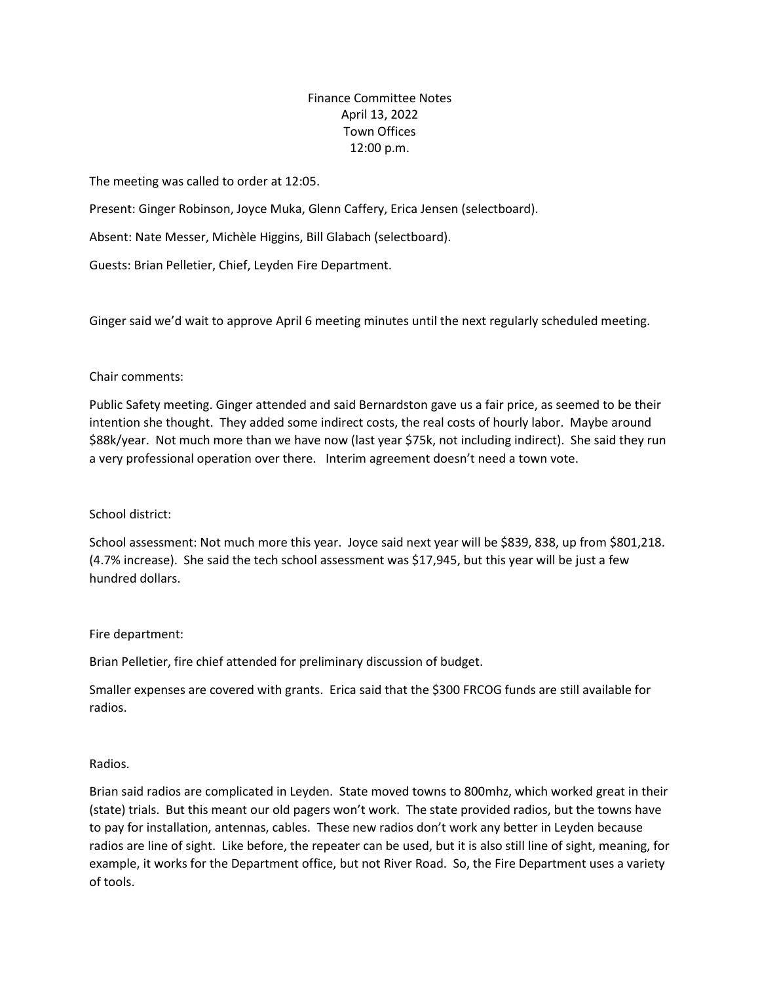# Finance Committee Notes April 13, 2022 Town Offices 12:00 p.m.

The meeting was called to order at 12:05.

Present: Ginger Robinson, Joyce Muka, Glenn Caffery, Erica Jensen (selectboard).

Absent: Nate Messer, Michèle Higgins, Bill Glabach (selectboard).

Guests: Brian Pelletier, Chief, Leyden Fire Department.

Ginger said we'd wait to approve April 6 meeting minutes until the next regularly scheduled meeting.

### Chair comments:

Public Safety meeting. Ginger attended and said Bernardston gave us a fair price, as seemed to be their intention she thought. They added some indirect costs, the real costs of hourly labor. Maybe around \$88k/year. Not much more than we have now (last year \$75k, not including indirect). She said they run a very professional operation over there. Interim agreement doesn't need a town vote.

### School district:

School assessment: Not much more this year. Joyce said next year will be \$839, 838, up from \$801,218. (4.7% increase). She said the tech school assessment was \$17,945, but this year will be just a few hundred dollars.

### Fire department:

Brian Pelletier, fire chief attended for preliminary discussion of budget.

Smaller expenses are covered with grants. Erica said that the \$300 FRCOG funds are still available for radios.

### Radios.

Brian said radios are complicated in Leyden. State moved towns to 800mhz, which worked great in their (state) trials. But this meant our old pagers won't work. The state provided radios, but the towns have to pay for installation, antennas, cables. These new radios don't work any better in Leyden because radios are line of sight. Like before, the repeater can be used, but it is also still line of sight, meaning, for example, it works for the Department office, but not River Road. So, the Fire Department uses a variety of tools.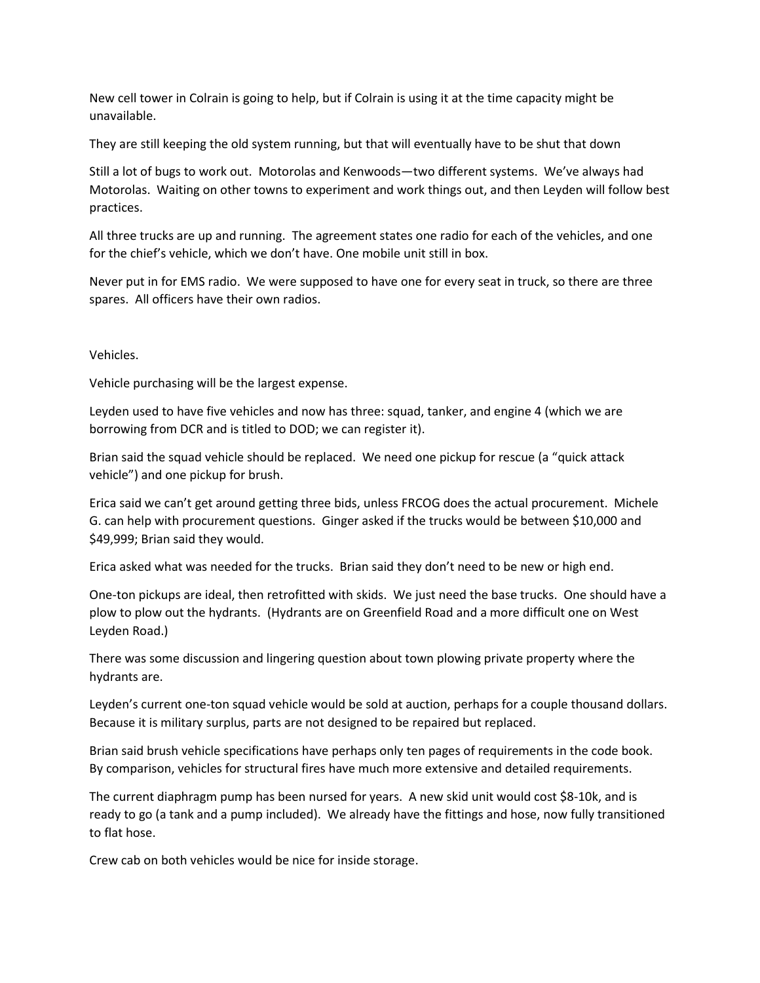New cell tower in Colrain is going to help, but if Colrain is using it at the time capacity might be unavailable.

They are still keeping the old system running, but that will eventually have to be shut that down

Still a lot of bugs to work out. Motorolas and Kenwoods—two different systems. We've always had Motorolas. Waiting on other towns to experiment and work things out, and then Leyden will follow best practices.

All three trucks are up and running. The agreement states one radio for each of the vehicles, and one for the chief's vehicle, which we don't have. One mobile unit still in box.

Never put in for EMS radio. We were supposed to have one for every seat in truck, so there are three spares. All officers have their own radios.

Vehicles.

Vehicle purchasing will be the largest expense.

Leyden used to have five vehicles and now has three: squad, tanker, and engine 4 (which we are borrowing from DCR and is titled to DOD; we can register it).

Brian said the squad vehicle should be replaced. We need one pickup for rescue (a "quick attack vehicle") and one pickup for brush.

Erica said we can't get around getting three bids, unless FRCOG does the actual procurement. Michele G. can help with procurement questions. Ginger asked if the trucks would be between \$10,000 and \$49,999; Brian said they would.

Erica asked what was needed for the trucks. Brian said they don't need to be new or high end.

One-ton pickups are ideal, then retrofitted with skids. We just need the base trucks. One should have a plow to plow out the hydrants. (Hydrants are on Greenfield Road and a more difficult one on West Leyden Road.)

There was some discussion and lingering question about town plowing private property where the hydrants are.

Leyden's current one-ton squad vehicle would be sold at auction, perhaps for a couple thousand dollars. Because it is military surplus, parts are not designed to be repaired but replaced.

Brian said brush vehicle specifications have perhaps only ten pages of requirements in the code book. By comparison, vehicles for structural fires have much more extensive and detailed requirements.

The current diaphragm pump has been nursed for years. A new skid unit would cost \$8-10k, and is ready to go (a tank and a pump included). We already have the fittings and hose, now fully transitioned to flat hose.

Crew cab on both vehicles would be nice for inside storage.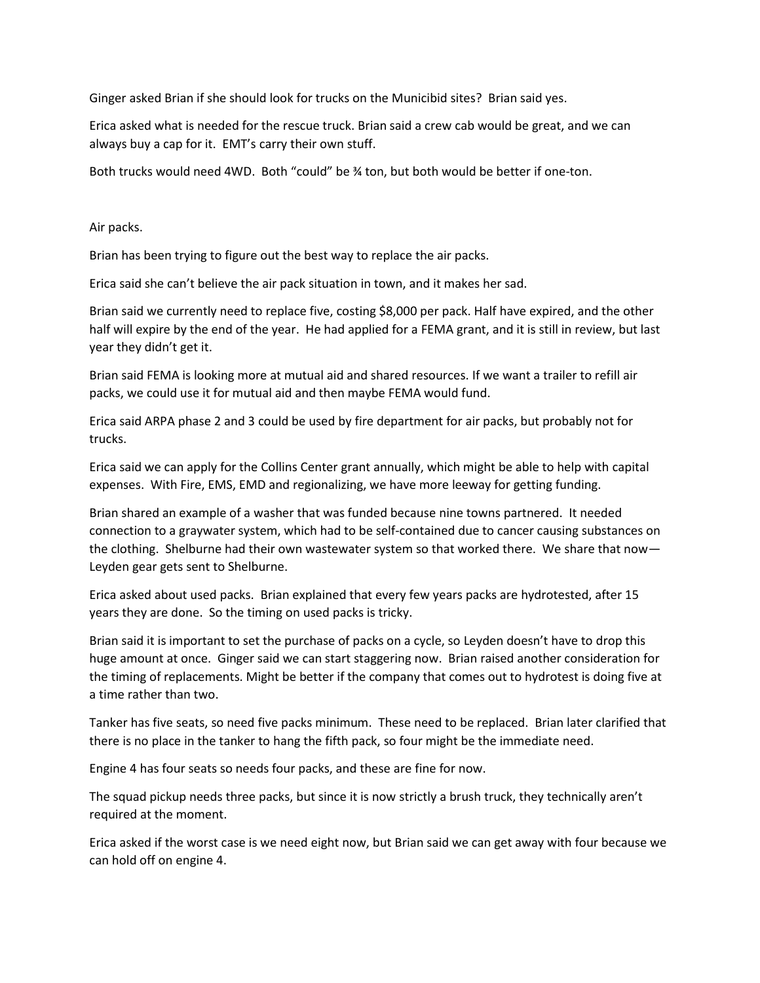Ginger asked Brian if she should look for trucks on the Municibid sites? Brian said yes.

Erica asked what is needed for the rescue truck. Brian said a crew cab would be great, and we can always buy a cap for it. EMT's carry their own stuff.

Both trucks would need 4WD. Both "could" be 3⁄4 ton, but both would be better if one-ton.

Air packs.

Brian has been trying to figure out the best way to replace the air packs.

Erica said she can't believe the air pack situation in town, and it makes her sad.

Brian said we currently need to replace five, costing \$8,000 per pack. Half have expired, and the other half will expire by the end of the year. He had applied for a FEMA grant, and it is still in review, but last year they didn't get it.

Brian said FEMA is looking more at mutual aid and shared resources. If we want a trailer to refill air packs, we could use it for mutual aid and then maybe FEMA would fund.

Erica said ARPA phase 2 and 3 could be used by fire department for air packs, but probably not for trucks.

Erica said we can apply for the Collins Center grant annually, which might be able to help with capital expenses. With Fire, EMS, EMD and regionalizing, we have more leeway for getting funding.

Brian shared an example of a washer that was funded because nine towns partnered. It needed connection to a graywater system, which had to be self-contained due to cancer causing substances on the clothing. Shelburne had their own wastewater system so that worked there. We share that now— Leyden gear gets sent to Shelburne.

Erica asked about used packs. Brian explained that every few years packs are hydrotested, after 15 years they are done. So the timing on used packs is tricky.

Brian said it is important to set the purchase of packs on a cycle, so Leyden doesn't have to drop this huge amount at once. Ginger said we can start staggering now. Brian raised another consideration for the timing of replacements. Might be better if the company that comes out to hydrotest is doing five at a time rather than two.

Tanker has five seats, so need five packs minimum. These need to be replaced. Brian later clarified that there is no place in the tanker to hang the fifth pack, so four might be the immediate need.

Engine 4 has four seats so needs four packs, and these are fine for now.

The squad pickup needs three packs, but since it is now strictly a brush truck, they technically aren't required at the moment.

Erica asked if the worst case is we need eight now, but Brian said we can get away with four because we can hold off on engine 4.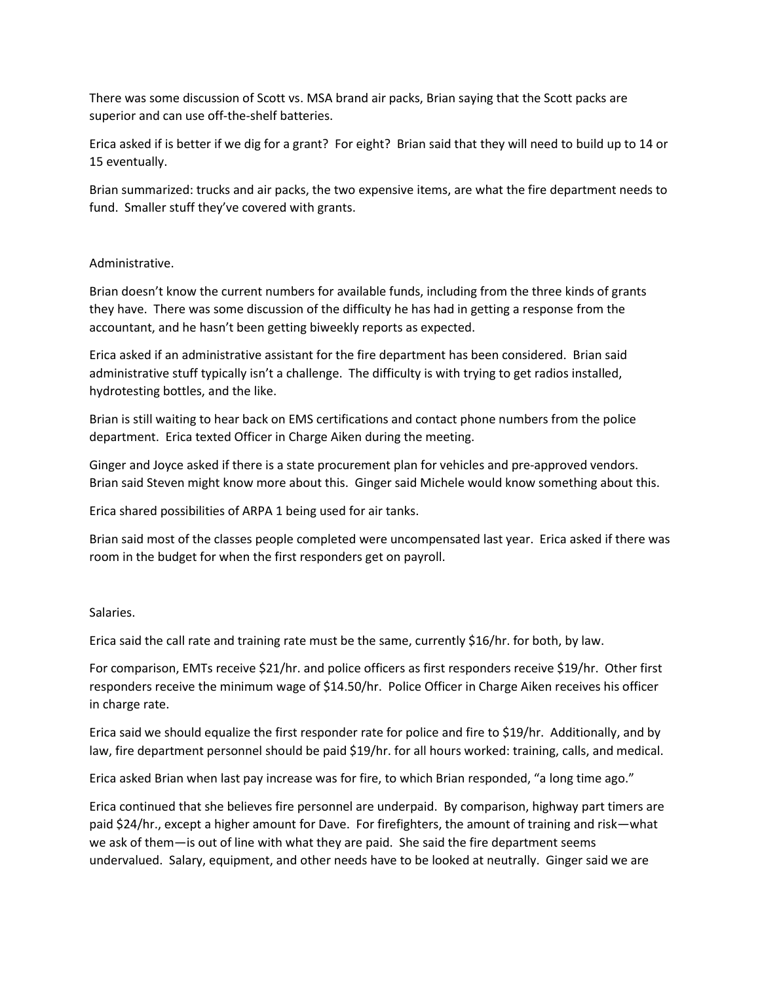There was some discussion of Scott vs. MSA brand air packs, Brian saying that the Scott packs are superior and can use off-the-shelf batteries.

Erica asked if is better if we dig for a grant? For eight? Brian said that they will need to build up to 14 or 15 eventually.

Brian summarized: trucks and air packs, the two expensive items, are what the fire department needs to fund. Smaller stuff they've covered with grants.

### Administrative.

Brian doesn't know the current numbers for available funds, including from the three kinds of grants they have. There was some discussion of the difficulty he has had in getting a response from the accountant, and he hasn't been getting biweekly reports as expected.

Erica asked if an administrative assistant for the fire department has been considered. Brian said administrative stuff typically isn't a challenge. The difficulty is with trying to get radios installed, hydrotesting bottles, and the like.

Brian is still waiting to hear back on EMS certifications and contact phone numbers from the police department. Erica texted Officer in Charge Aiken during the meeting.

Ginger and Joyce asked if there is a state procurement plan for vehicles and pre-approved vendors. Brian said Steven might know more about this. Ginger said Michele would know something about this.

Erica shared possibilities of ARPA 1 being used for air tanks.

Brian said most of the classes people completed were uncompensated last year. Erica asked if there was room in the budget for when the first responders get on payroll.

### Salaries.

Erica said the call rate and training rate must be the same, currently \$16/hr. for both, by law.

For comparison, EMTs receive \$21/hr. and police officers as first responders receive \$19/hr. Other first responders receive the minimum wage of \$14.50/hr. Police Officer in Charge Aiken receives his officer in charge rate.

Erica said we should equalize the first responder rate for police and fire to \$19/hr. Additionally, and by law, fire department personnel should be paid \$19/hr. for all hours worked: training, calls, and medical.

Erica asked Brian when last pay increase was for fire, to which Brian responded, "a long time ago."

Erica continued that she believes fire personnel are underpaid. By comparison, highway part timers are paid \$24/hr., except a higher amount for Dave. For firefighters, the amount of training and risk—what we ask of them—is out of line with what they are paid. She said the fire department seems undervalued. Salary, equipment, and other needs have to be looked at neutrally. Ginger said we are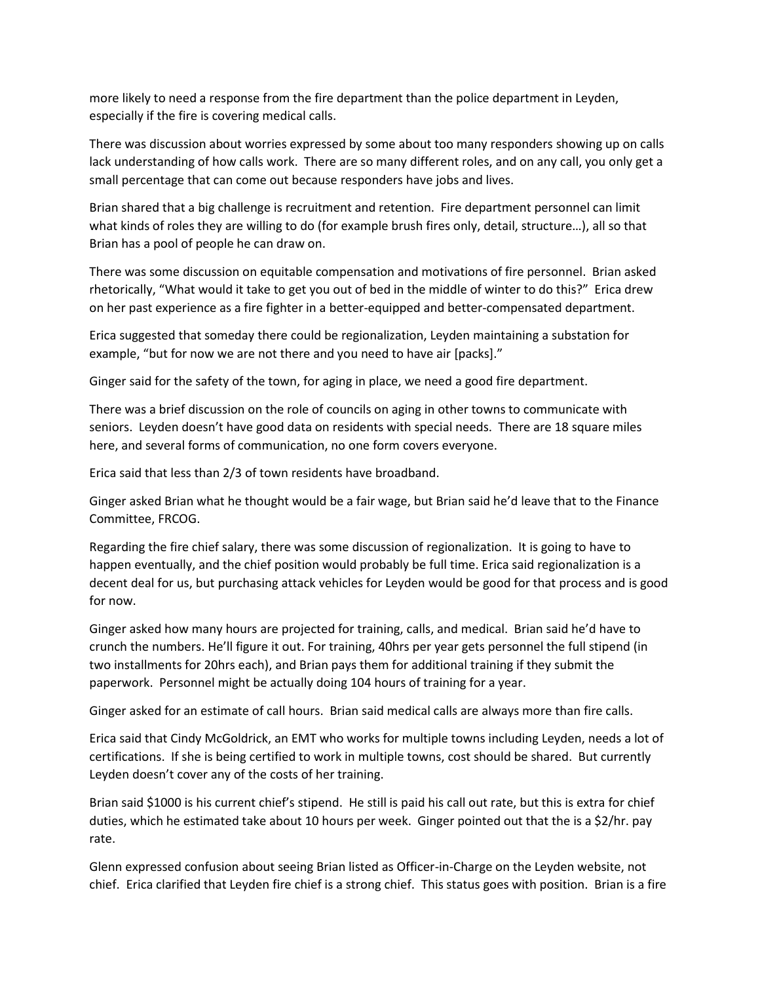more likely to need a response from the fire department than the police department in Leyden, especially if the fire is covering medical calls.

There was discussion about worries expressed by some about too many responders showing up on calls lack understanding of how calls work. There are so many different roles, and on any call, you only get a small percentage that can come out because responders have jobs and lives.

Brian shared that a big challenge is recruitment and retention. Fire department personnel can limit what kinds of roles they are willing to do (for example brush fires only, detail, structure…), all so that Brian has a pool of people he can draw on.

There was some discussion on equitable compensation and motivations of fire personnel. Brian asked rhetorically, "What would it take to get you out of bed in the middle of winter to do this?" Erica drew on her past experience as a fire fighter in a better-equipped and better-compensated department.

Erica suggested that someday there could be regionalization, Leyden maintaining a substation for example, "but for now we are not there and you need to have air [packs]."

Ginger said for the safety of the town, for aging in place, we need a good fire department.

There was a brief discussion on the role of councils on aging in other towns to communicate with seniors. Leyden doesn't have good data on residents with special needs. There are 18 square miles here, and several forms of communication, no one form covers everyone.

Erica said that less than 2/3 of town residents have broadband.

Ginger asked Brian what he thought would be a fair wage, but Brian said he'd leave that to the Finance Committee, FRCOG.

Regarding the fire chief salary, there was some discussion of regionalization. It is going to have to happen eventually, and the chief position would probably be full time. Erica said regionalization is a decent deal for us, but purchasing attack vehicles for Leyden would be good for that process and is good for now.

Ginger asked how many hours are projected for training, calls, and medical. Brian said he'd have to crunch the numbers. He'll figure it out. For training, 40hrs per year gets personnel the full stipend (in two installments for 20hrs each), and Brian pays them for additional training if they submit the paperwork. Personnel might be actually doing 104 hours of training for a year.

Ginger asked for an estimate of call hours. Brian said medical calls are always more than fire calls.

Erica said that Cindy McGoldrick, an EMT who works for multiple towns including Leyden, needs a lot of certifications. If she is being certified to work in multiple towns, cost should be shared. But currently Leyden doesn't cover any of the costs of her training.

Brian said \$1000 is his current chief's stipend. He still is paid his call out rate, but this is extra for chief duties, which he estimated take about 10 hours per week. Ginger pointed out that the is a \$2/hr. pay rate.

Glenn expressed confusion about seeing Brian listed as Officer-in-Charge on the Leyden website, not chief. Erica clarified that Leyden fire chief is a strong chief. This status goes with position. Brian is a fire